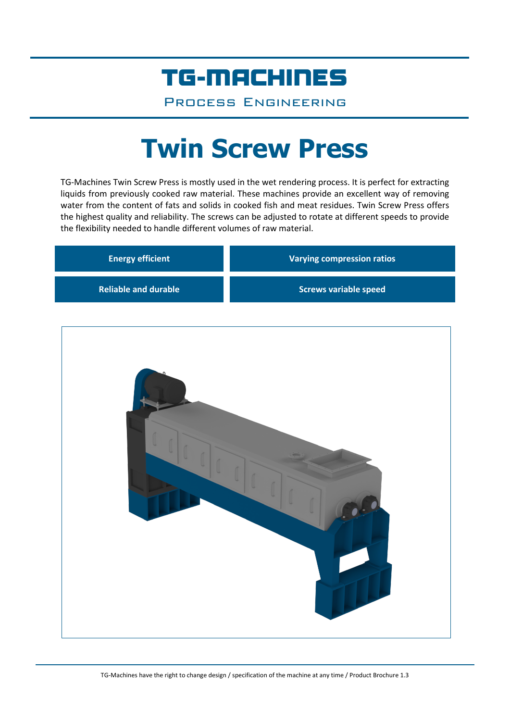## TG-MACHINES

Process Engineering

# **Twin Screw Press**

TG-Machines Twin Screw Press is mostly used in the wet rendering process. It is perfect for extracting liquids from previously cooked raw material. These machines provide an excellent way of removing water from the content of fats and solids in cooked fish and meat residues. Twin Screw Press offers the highest quality and reliability. The screws can be adjusted to rotate at different speeds to provide the flexibility needed to handle different volumes of raw material.

| <b>Energy efficient</b>     | <b>Varying compression ratios</b> |
|-----------------------------|-----------------------------------|
| <b>Reliable and durable</b> | <b>Screws variable speed</b>      |